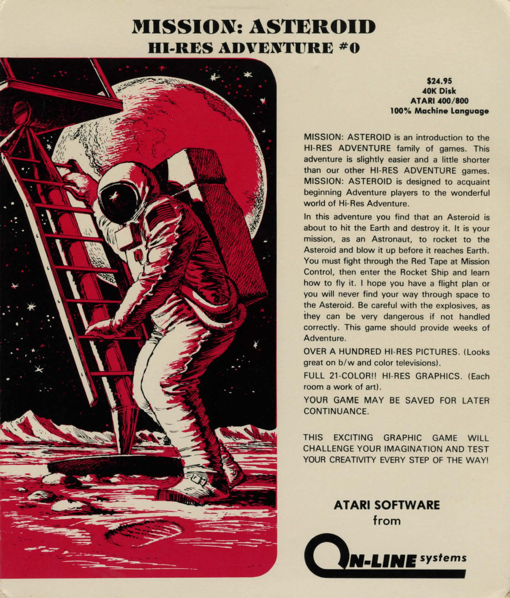# **MISSION: ASTEROID HI-RES ADVENTURE #0**



**\$2 ... 95 .. OK Disk ATARI .. 00/800 100% Machine language** 

MISSION: ASTEROID is an introduction to the HI-RES ADVENTURE family of games. This adventure is slightly easier and a little shorter than our other HI-RES ADVENTURE games. MISSION: ASTEROID is designed to acquaint beginning Adventure players to the wonderful world of Hi-Res Adventure.

In this adventure you find that an Asteroid is about to hit the Earth and destroy it. It is your mission, as an Astronaut, to rocket to the Asteroid and blow it up before it reaches Earth. You must fight through the Red Tape at Mission Control, then enter the Rocket Ship and learn how to fly it. I hope you have a flight plan or you will never find your way through space to the Asteroid. Be careful with the explosives, as they can be very dangerous if not handled correctly. This game should provide weeks of Adventure.

**OVER A HUNDRED HI-RES PICTURES. (Looks)** great on  $b/w$  and color televisions).

FULL 21-COLOR!! HI-RES GRAPHICS. (Each room a work of art).

YOUR GAME MAY BE SAVED FOR LATER **CONTINUANCE** 

THIS EXCITING GRAPHIC GAME WILL CHALLENGE YOUR IMAGINATION AND TEST YOUR CREATIVITY EVERY STEP OF THE WAY!

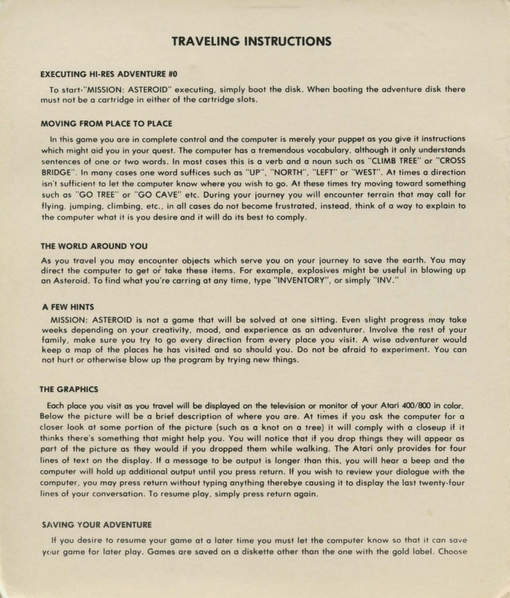### **TRAVELING INSTRUCTIONS**

#### EXECUTING HI-RES ADVENTURE #0

To start<sup>,"</sup>MISSION: ASTEROID" executing, simply boot the disk. When booting the adventure disk there must not be a cartridge in either of the cartridge slots .

#### MOVING FROM PLACE TO PLACE

In this game *you* ore in complete control and the computer is merely your puppet as *you* give it instructions which might aid you in your quest. The computer hos a tremendous vocabulary, although it only understands sentences of one or two words. In most coses this is a verb and a noun such as "CLIMB TREE" or "CROSS BRIDGE". In many coses one word suffices such as "UP" . "NORTH", "LEFT" or "WEST". At times a direction isn't sufficient to let the computer know where you wish to go. At these times try moving toward something such as "GO TREE" or "GO CAVE" etc. During your journey *you* will encounter terrain that may coll for flying, jumping, climbing, etc., in all cases do not become frustrated, instead, think of a way to explain to the computer what it is *you* desire and it will do its best to comply .

#### THE WORLD AROUND YOU

As you travel you may encounter objects which serve *you* on your journey to save the earth. You may direct the computer to get or take these items. For example, explosives might be useful in blowing up an Asteroid. To find what you're carring at any time, type "INVENTORY", or simply "INV."

#### A FEW HINTS

MISSION: ASTEROID is not a game that will be solved at one sitting. Even slight progress may take weeks depending on your creativity, mood, and experience as an adventurer. Involve the rest of your family. make sure *you* try to go every direction from every place *you* visit. A wise adventurer would keep a mop of the places he hos visited and so should you. Do not be afraid to experiment. You con not hurt or otherwise blow up the program by trying new things.

#### THE GRAPHICS

Each place you visit as you travel will be displayed on the television or monitor of your Atari 400/800 in color. Below the picture will be a brief description of where you are. At times if you ask the computer for a closer look at some portion of the picture (such as a knot on a tree) it will comply with a closeup if it thinks there's something that might help you. You will notice that if *you* drop things they will appear as port of the picture as they would if *you* dropped them while walking. The Atari only provides for four lines of text on the display. If a message to be output is longer than this, *you* will hear a beep and the computer will hold up additional output until you press return. If you wish to review your dialogue with the computer, you may press return without typing anything therebye causing it to display the lost twenty-four lines of your conversation. To resume play, simply press return again.

#### SAVING YOUR ADVENTURE

If you desire to resume your game at a later time *you* must let the computer know so that it con save your game for later play. Games are saved on a diskette other than the one with the gold label. Choose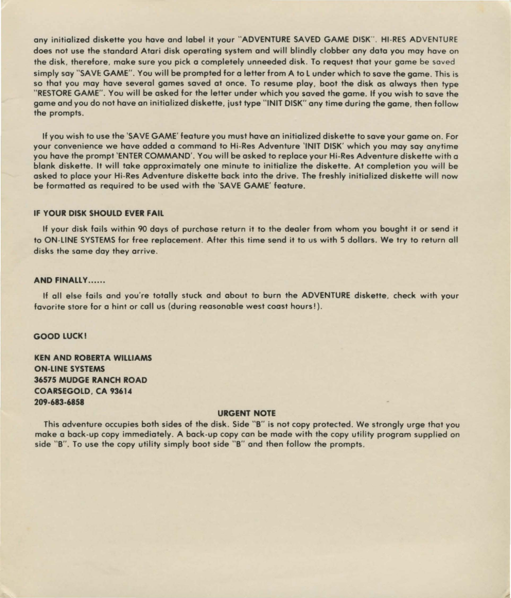any initialized diskette you hove and label it your "ADVENTURE SAVED GAME DISK". HI-RES ADVENTURE does not use the standard Atari disk operating system and will blindly clobber any data you may hove on the disk. therefore, make sure you pick o completely unneeded disk. To request that your game be saved simply say "SAVE GAME". You will be prompted for a letter from A to L under which to save the game. This is so that you may have several games saved at once. To resume play, boot the disk as always then type " RESTORE GAME". You will be asked for the letter under which you saved the game. If you wish to save the game and you do not hove on initialized diskette, just type "INIT DISK" any time during the game, then follow the prompts.

If you wish to use the 'SAVE GAME' feature you must hove on initialized diskette to save your game on. For your convenience we hove added o command to Hi-Res Adventure 'INIT DISK' which you may soy onytime you hove the prompt 'ENTER COMMAND'. You will be asked to replace your Hi-Res Adventure diskette with o blank diskette. It will take approximately one minute to initialize the diskette. At completion you will be asked to place your Hi-Res Adventure diskette bock into the drive. The freshly initialized diskette will now be formatted as required to be used with the 'SAVE GAME' feature.

#### IF YOUR DISK SHOULD EVER FAIL

If your disk foils within 90 doys of purchase return it to the dealer from whom you bought it or send it to ON-LINE SYSTEMS for free replacement. After this time send it to us with 5 dollars. We try to return all disks the some day they arrive.

#### AND FINALLY......

If all else fails and you're totally stuck and about to burn the ADVENTURE diskette, check with your fovorite store for o hint or coll us (during reasonable west coast hours!).

#### GOOD LUCK!

**KEN AND ROBERTA WILLIAMS** ON-LINE SYSTEMS 36575 MUDGE RANCH ROAD COARSEGOLD, CA 93614 209-683-6858

#### URGENT NOTE

This adventure occupies both sides of the disk. Side "B" is not copy protected. We strongly urge that you make o bock-up copy immediately. A bock-up copy con be mode with the copy utility program supplied on side "B". To use the copy utility simply boot side "B" and then follow the prompts.